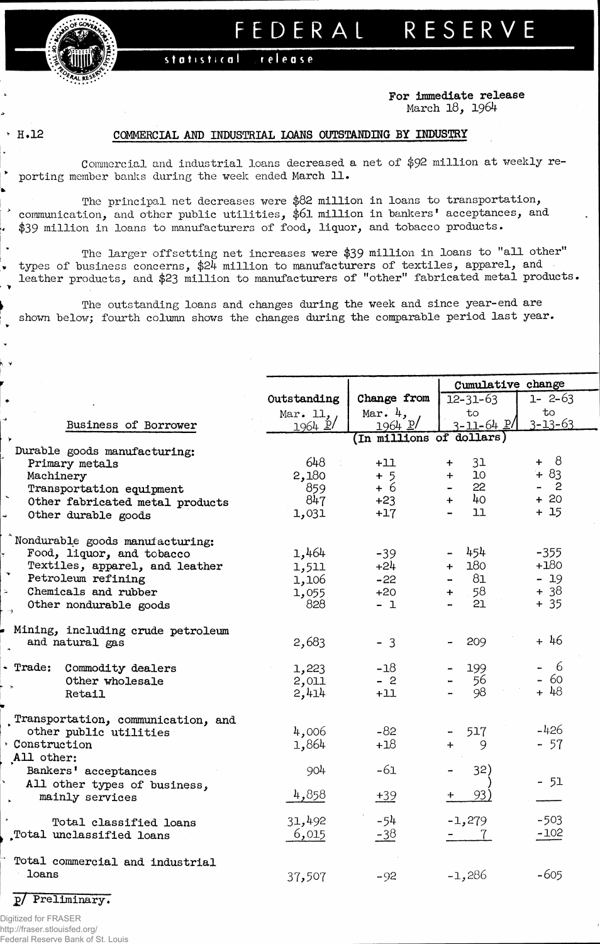

## FEDERAL RESERVE

## release statistical

**For immediate release** March 18, 1964

**k V**

## *R.12* **COMMERCIAL AND INDUSTRIAL LOANS OUTSTANDING BY INDUSTRY**

Commercial and industrial loans decreased a net of \$92 million at weekly reporting member banks during the week ended March 11.

The principal net decreases were \$82 million in loans to transportation, communication, and other public utilities, \$61 million in bankers' acceptances, and \$39 million in loans to manufacturers of food, liquor, and tobacco products.

The larger offsetting net increases were \$39 million in loans to "all other" types of business concerns, \$24 million to manufacturers of textiles, apparel, and leather products, and \$23 million to manufacturers of "other" fabricated metal products.

The outstanding loans and changes during the week and since year-end are shown below; fourth column shows the changes during the comparable period last year.

|                                                 |             |                         | Cumulative change      |               |  |
|-------------------------------------------------|-------------|-------------------------|------------------------|---------------|--|
|                                                 | Outstanding | Change from             | $12 - 31 - 63$         | $1 - 2 - 63$  |  |
|                                                 | Mar. $11,$  | Mar. $4,$               | to                     | to            |  |
| Business of Borrower                            | 1964 P      | $1964$ $p/$             | $3 - 11 - 64$ $P$ /    | $3 - 13 - 63$ |  |
|                                                 |             | In millions of dollars) |                        |               |  |
| Durable goods manufacturing:                    |             |                         |                        |               |  |
| Primary metals                                  | 648         | $+11$                   | 31<br>$\ddot{}$        | $+ 8$         |  |
| Machinery                                       | 2,180       | $+5$                    | 10 <sub>1</sub><br>$+$ | $+83$         |  |
| Transportation equipment                        | 859         | $+6$                    | 22                     | $\mathbf{2}$  |  |
| Other fabricated metal products                 | 847         | $+23$                   | 40<br>$+$              | $+20$         |  |
| Other durable goods                             | 1,031       | $+17$                   | 11                     | $+15$         |  |
| Nondurable goods manufacturing:                 |             |                         |                        |               |  |
| Food, liquor, and tobacco                       | 1,464       | $-39$                   | 454                    | $-355$        |  |
| Textiles, apparel, and leather                  | 1,511       | $+24$                   | 180<br>$+$             | $+180$        |  |
| Petroleum refining                              | 1,106       | $-22$                   | 81                     | $-19$         |  |
| Chemicals and rubber                            | 1,055       | $+20$                   | 58<br>$+$ $-$          | $+38$         |  |
| Other nondurable goods                          | 828         | $-1$                    | 21                     | $+35$         |  |
| Mining, including crude petroleum               |             |                         |                        |               |  |
| and natural gas                                 | 2,683       | $-3$                    | 209                    | + 46          |  |
| - Trade:<br>Commodity dealers                   | 1,223       | $-18$                   | 199                    | $-6$          |  |
| Other wholesale                                 | 2,011       | $-2$                    | 56                     | - 60          |  |
| Retail                                          | 2,414       | $+11$                   | 98                     | $+48$         |  |
| Transportation, communication, and              |             |                         |                        |               |  |
| other public utilities                          | 4,006       | $-82$                   | 517                    | $-426$        |  |
| Construction<br>All other:                      | 1,864       | $+18$                   | 9<br>$+$               | $-57$         |  |
| Bankers' acceptances                            | 904         | $-61$                   | 32)                    | $-51$         |  |
| All other types of business,<br>mainly services | 4,858       | $+39$                   | 93)                    |               |  |
|                                                 |             |                         |                        |               |  |
| Total classified loans                          | 31,492      | $-54$                   | $-1,279$               | $-503$        |  |
| Total unclassified loans                        | 6,015       | $-38$                   | $-7$                   | $-102$        |  |
| Total commercial and industrial                 |             |                         |                        |               |  |
| loans                                           | 37,507      | $-92$                   | $-1,286$               | $-605$        |  |
| p/ Preliminary.                                 |             |                         |                        |               |  |